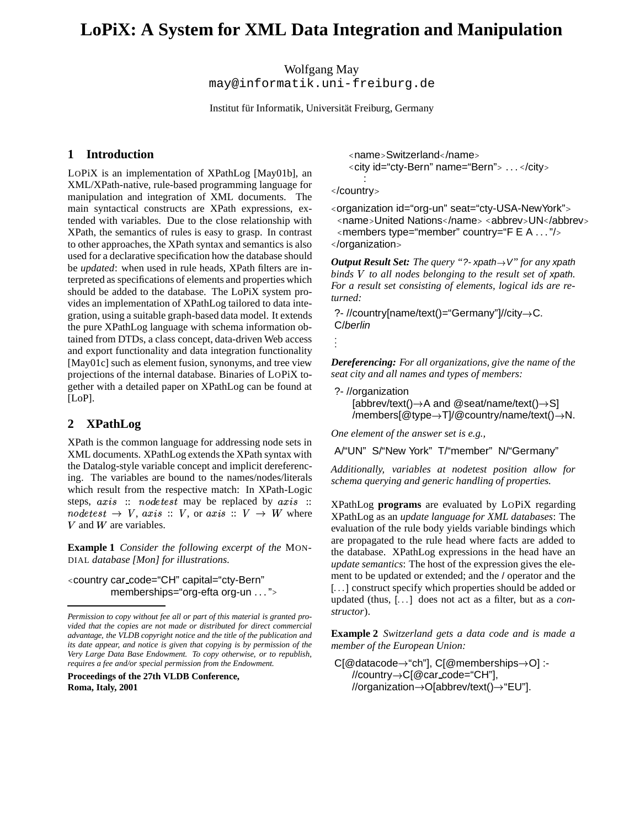# **LoPiX: A System for XML Data Integration and Manipulation**

Wolfgang May

may@informatik.uni-freiburg.de

Institut für Informatik, Universität Freiburg, Germany

# **1 Introduction**

LOPiX is an implementation of XPathLog [May01b], an XML/XPath-native, rule-based programming language for manipulation and integration of XML documents. The main syntactical constructs are XPath expressions, extended with variables. Due to the close relationship with XPath, the semantics of rules is easy to grasp. In contrast to other approaches, the XPath syntax and semantics is also used for a declarative specification how the database should be *updated*: when used in rule heads, XPath filters are interpreted as specifications of elements and properties which should be added to the database. The LoPiX system provides an implementation of XPathLog tailored to data integration, using a suitable graph-based data model. It extends the pure XPathLog language with schema information obtained from DTDs, a class concept, data-driven Web access and export functionality and data integration functionality [May01c] such as element fusion, synonyms, and tree view projections of the internal database. Binaries of LOPiX together with a detailed paper on XPathLog can be found at [LoP].

# **2 XPathLog**

XPath is the common language for addressing node sets in XML documents. XPathLog extends the XPath syntax with the Datalog-style variable concept and implicit dereferencing. The variables are bound to the names/nodes/literals which result from the respective match: In XPath-Logic steps,  $axis ::$  nodetest may be replaced by  $axis ::$ nodetest  $\rightarrow V$ , axis ::  $V$ , or axis ::  $V \rightarrow W$  where  $X$ PathLog V and W are variables.

**Example 1** *Consider the following excerpt of the* MON-DIAL *database [Mon] for illustrations.*

<country car\_code="CH" capital="cty-Bern" memberships="org-efta org-un . . . ">

**Proceedings of the 27th VLDB Conference, Roma, Italy, 2001**

<name>Switzerland</name> <city id="cty-Bern" name="Bern"> . . . </city>

</country>

:

<organization id="org-un" seat="cty-USA-NewYork"> <name>United Nations</name> <abbrev>UN</abbrev> <members type="member" country="F E A … "/> </organization>

*Output Result Set: The query* "?- xpath $\rightarrow$ V" *for any* xpath *binds to all nodes belonging to the result set of* xpath*. For a result set consisting of elements, logical ids are returned:*

?- //country[name/text()="Germany"]//city C. C/berlin

. . .

*Dereferencing: For all organizations, give the name of the seat city and all names and types of members:*

```
?- //organization
  [abbrev/text()
A and @seat/name/text()
S]
  /members[@type→T]/@country/name/text()→N.
```
*One element of the answer set is e.g.,*

A/"UN" S/"New York" T/"member" N/"Germany"

*Additionally, variables at nodetest position allow for schema querying and generic handling of properties.*

XPathLog **programs** are evaluated by LOPiX regarding XPathLog as an *update language for XML databases*: The evaluation of the rule body yields variable bindings which are propagated to the rule head where facts are added to the database. XPathLog expressions in the head have an *update semantics*: The host of the expression gives the element to be updated or extended; and the / operator and the [...] construct specify which properties should be added or updated (thus, [. . . ] does not act as a filter, but as a *constructor*).

**Example 2** *Switzerland gets a data code and is made a member of the European Union:*

```
C[@datacode→"ch"], C[@memberships→O] :-
  //country
C[@car code="CH"],
  //organization
O[abbrev/text()
"EU"].
```
*Permission to copy without fee all or part of this material is granted provided that the copies are not made or distributed for direct commercial advantage, the VLDB copyright notice and the title of the publication and its date appear, and notice is given that copying is by permission of the Very Large Data Base Endowment. To copy otherwise, or to republish, requires a fee and/or special permission from the Endowment.*